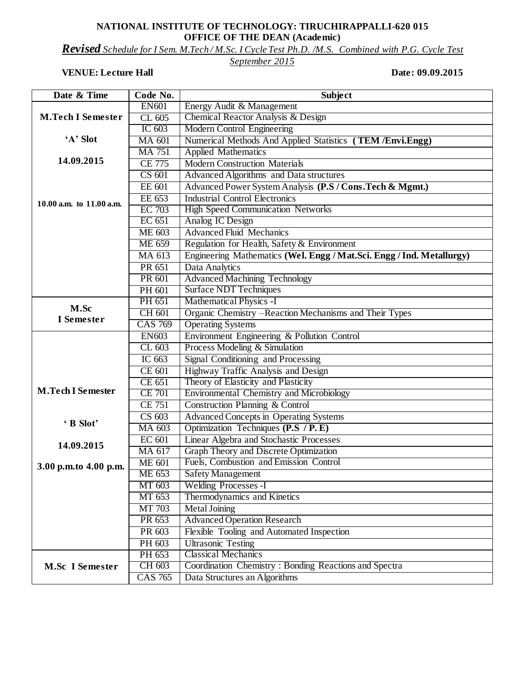## **NATIONAL INSTITUTE OF TECHNOLOGY: TIRUCHIRAPPALLI-620 015 OFFICE OF THE DEAN (Academic)**

*Revised Schedule for I Sem. M.Tech / M.Sc. I Cycle Test Ph.D. /M.S. Combined with P.G. Cycle Test* 

## *September 2015*

## **VENUE:** Lecture Hall Date: 09.09.2015

| Date & Time                  | Code No.       | <b>Subject</b>                                                        |
|------------------------------|----------------|-----------------------------------------------------------------------|
|                              | <b>EN601</b>   | Energy Audit & Management                                             |
| <b>M.Tech I Semester</b>     | CL 605         | Chemical Reactor Analysis & Design                                    |
|                              | IC $603$       | <b>Modern Control Engineering</b>                                     |
| 'A' Slot                     | <b>MA 601</b>  | Numerical Methods And Applied Statistics (TEM /Envi.Engg)             |
|                              | <b>MA 751</b>  | <b>Applied Mathematics</b>                                            |
| 14.09.2015                   | <b>CE 775</b>  | <b>Modern Construction Materials</b>                                  |
|                              | CS 601         | <b>Advanced Algorithms</b> and Data structures                        |
|                              | EE 601         | Advanced Power System Analysis (P.S / Cons. Tech & Mgmt.)             |
|                              | EE 653         | <b>Industrial Control Electronics</b>                                 |
| $10.00$ a.m. to $11.00$ a.m. | <b>EC</b> 703  | <b>High Speed Communication Networks</b>                              |
|                              | EC 651         | Analog IC Design                                                      |
|                              | <b>ME 603</b>  | <b>Advanced Fluid Mechanics</b>                                       |
|                              | <b>ME 659</b>  | Regulation for Health, Safety & Environment                           |
|                              | MA 613         | Engineering Mathematics (Wel. Engg / Mat.Sci. Engg / Ind. Metallurgy) |
|                              | PR 651         | Data Analytics                                                        |
|                              | PR 601         | <b>Advanced Machining Technology</b>                                  |
|                              | PH 601         | <b>Surface NDT Techniques</b>                                         |
|                              | PH 651         | <b>Mathematical Physics -I</b>                                        |
| M.Sc<br>I Semester           | CH 601         | Organic Chemistry -Reaction Mechanisms and Their Types                |
|                              | <b>CAS 769</b> | <b>Operating Systems</b>                                              |
|                              | <b>EN603</b>   | Environment Engineering & Pollution Control                           |
|                              | CL 603         | Process Modeling & Simulation                                         |
|                              | IC 663         | Signal Conditioning and Processing                                    |
|                              | <b>CE 601</b>  | Highway Traffic Analysis and Design                                   |
|                              | <b>CE 651</b>  | Theory of Elasticity and Plasticity                                   |
| <b>M.Tech I Semester</b>     | <b>CE 701</b>  | Environmental Chemistry and Microbiology                              |
|                              | <b>CE 751</b>  | Construction Planning & Control                                       |
| 'B Slot'                     | CS 603         | <b>Advanced Concepts in Operating Systems</b>                         |
|                              | MA 603         | Optimization Techniques (P.S / P. E)                                  |
| 14.09.2015                   | EC 601         | <b>Linear Algebra and Stochastic Processes</b>                        |
|                              | MA 617         | Graph Theory and Discrete Optimization                                |
| 3.00 p.m.to 4.00 p.m.        | <b>ME 601</b>  | Fuels, Combustion and Emission Control                                |
|                              | ME 653         | <b>Safety Management</b>                                              |
|                              | MT 603         | <b>Welding Processes - I</b>                                          |
|                              | MT 653         | Thermodynamics and Kinetics                                           |
|                              | MT 703         | <b>Metal Joining</b>                                                  |
|                              | PR 653         | <b>Advanced Operation Research</b>                                    |
|                              | PR 603         | Flexible Tooling and Automated Inspection                             |
|                              | PH 603         | <b>Ultrasonic Testing</b>                                             |
| <b>M.Sc I Semester</b>       | PH 653         | <b>Classical Mechanics</b>                                            |
|                              | CH 603         | Coordination Chemistry: Bonding Reactions and Spectra                 |
|                              | <b>CAS 765</b> | Data Structures an Algorithms                                         |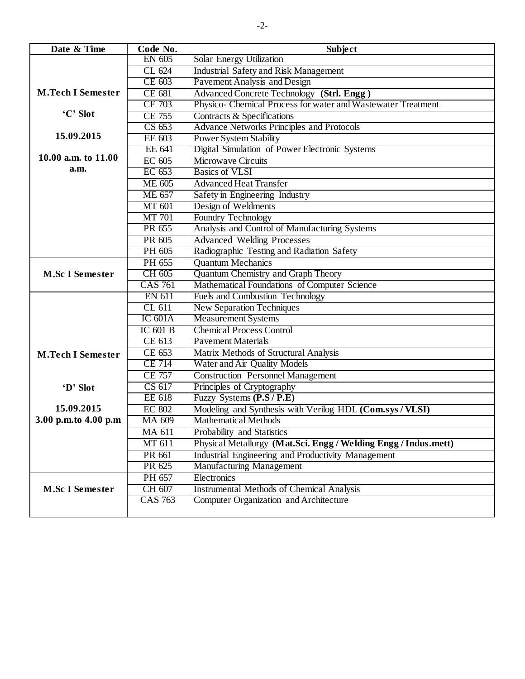| Date & Time              | Code No.       | <b>Subject</b>                                                  |
|--------------------------|----------------|-----------------------------------------------------------------|
|                          | EN 605         | Solar Energy Utilization                                        |
|                          | CL 624         | <b>Industrial Safety and Risk Management</b>                    |
|                          | CE 603         | Pavement Analysis and Design                                    |
| <b>M.Tech I Semester</b> | <b>CE 681</b>  | Advanced Concrete Technology (Strl. Engg)                       |
|                          | CE 703         | Physico- Chemical Process for water and Wastewater Treatment    |
| 'C' Slot                 | <b>CE 755</b>  | Contracts & Specifications                                      |
|                          | CS 653         | <b>Advance Networks Principles and Protocols</b>                |
| 15.09.2015               | EE 603         | <b>Power System Stability</b>                                   |
|                          | EE 641         | Digital Simulation of Power Electronic Systems                  |
| 10.00 a.m. to 11.00      | EC 605         | <b>Microwave Circuits</b>                                       |
| a.m.                     | EC 653         | <b>Basics of VLSI</b>                                           |
|                          | <b>ME 605</b>  | <b>Advanced Heat Transfer</b>                                   |
|                          | <b>ME 657</b>  | Safety in Engineering Industry                                  |
|                          | <b>MT 601</b>  | Design of Weldments                                             |
|                          | <b>MT</b> 701  | Foundry Technology                                              |
|                          | PR 655         | Analysis and Control of Manufacturing Systems                   |
|                          | PR 605         | <b>Advanced Welding Processes</b>                               |
|                          | PH 605         | Radiographic Testing and Radiation Safety                       |
|                          | PH 655         | <b>Quantum Mechanics</b>                                        |
| <b>M.Sc I Semester</b>   | CH 605         | <b>Quantum Chemistry and Graph Theory</b>                       |
|                          | <b>CAS 761</b> | Mathematical Foundations of Computer Science                    |
|                          | <b>EN 611</b>  | <b>Fuels and Combustion Technology</b>                          |
|                          | CL 611         | <b>New Separation Techniques</b>                                |
|                          | IC 601A        | <b>Measurement Systems</b>                                      |
|                          | $IC$ 601 B     | <b>Chemical Process Control</b>                                 |
|                          | CE 613         | <b>Pavement Materials</b>                                       |
| <b>M.Tech I Semester</b> | CE 653         | Matrix Methods of Structural Analysis                           |
|                          | <b>CE 714</b>  | Water and Air Quality Models                                    |
|                          | <b>CE 757</b>  | <b>Construction Personnel Management</b>                        |
| 'D' Slot                 | CS 617         | Principles of Cryptography                                      |
|                          | <b>EE</b> 618  | Fuzzy Systems (P.S / P.E)                                       |
| 15.09.2015               | <b>EC 802</b>  | Modeling and Synthesis with Verilog HDL (Com.sys / VLSI)        |
| 3.00 p.m.to 4.00 p.m     | MA 609         | <b>Mathematical Methods</b>                                     |
|                          | MA 611         | Probability and Statistics                                      |
|                          | MT 611         | Physical Metallurgy (Mat.Sci. Engg / Welding Engg / Indus.mett) |
|                          | PR 661         | Industrial Engineering and Productivity Management              |
|                          | PR 625         | <b>Manufacturing Management</b>                                 |
|                          | PH 657         | Electronics                                                     |
| <b>M.Sc I Semester</b>   | CH 607         | <b>Instrumental Methods of Chemical Analysis</b>                |
|                          | <b>CAS 763</b> | Computer Organization and Architecture                          |
|                          |                |                                                                 |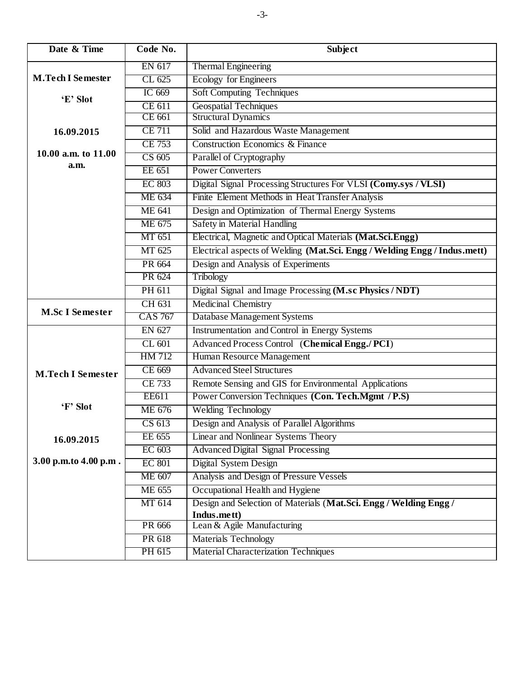| Date & Time                          | Code No.       | <b>Subject</b>                                                            |
|--------------------------------------|----------------|---------------------------------------------------------------------------|
|                                      | EN 617         | <b>Thermal Engineering</b>                                                |
| <b>M.Tech I Semester</b><br>'E' Slot | CL 625         | <b>Ecology for Engineers</b>                                              |
|                                      | IC 669         | <b>Soft Computing Techniques</b>                                          |
|                                      | <b>CE 611</b>  | <b>Geospatial Techniques</b>                                              |
|                                      | CE 661         | <b>Structural Dynamics</b>                                                |
| 16.09.2015                           | <b>CE 711</b>  | Solid and Hazardous Waste Management                                      |
|                                      | <b>CE 753</b>  | <b>Construction Economics &amp; Finance</b>                               |
| 10.00 a.m. to $11.00$<br>a.m.        | CS 605         | Parallel of Cryptography                                                  |
|                                      | EE 651         | <b>Power Converters</b>                                                   |
|                                      | <b>EC 803</b>  | Digital Signal Processing Structures For VLSI (Comy.sys / VLSI)           |
|                                      | ME 634         | Finite Element Methods in Heat Transfer Analysis                          |
|                                      | <b>ME 641</b>  | Design and Optimization of Thermal Energy Systems                         |
|                                      | ME 675         | <b>Safety in Material Handling</b>                                        |
|                                      | MT 651         | Electrical, Magnetic and Optical Materials (Mat.Sci.Engg)                 |
|                                      | MT 625         | Electrical aspects of Welding (Mat.Sci. Engg / Welding Engg / Indus.mett) |
|                                      | PR 664         | Design and Analysis of Experiments                                        |
|                                      | PR 624         | Tribology                                                                 |
|                                      | PH 611         | Digital Signal and Image Processing (M.sc Physics / NDT)                  |
| <b>M.Sc I Semester</b>               | CH 631         | <b>Medicinal Chemistry</b>                                                |
|                                      | <b>CAS 767</b> | <b>Database Management Systems</b>                                        |
|                                      | EN 627         | Instrumentation and Control in Energy Systems                             |
|                                      | CL 601         | Advanced Process Control (Chemical Engg./PCI)                             |
|                                      | HM 712         | Human Resource Management                                                 |
| <b>M.Tech I Semester</b>             | CE 669         | <b>Advanced Steel Structures</b>                                          |
|                                      | <b>CE 733</b>  | Remote Sensing and GIS for Environmental Applications                     |
| 'F' Slot                             | EE611          | Power Conversion Techniques (Con. Tech.Mgmt / P.S)                        |
|                                      | <b>ME 676</b>  | <b>Welding Technology</b>                                                 |
|                                      | CS 613         | Design and Analysis of Parallel Algorithms                                |
| 16.09.2015                           | EE 655         | <b>Linear and Nonlinear Systems Theory</b>                                |
|                                      | EC 603         | <b>Advanced Digital Signal Processing</b>                                 |
| 3.00 p.m.to 4.00 p.m.                | <b>EC 801</b>  | <b>Digital System Design</b>                                              |
|                                      | ME 607         | Analysis and Design of Pressure Vessels                                   |
|                                      | <b>ME 655</b>  | Occupational Health and Hygiene                                           |
|                                      | MT 614         | Design and Selection of Materials (Mat.Sci. Engg / Welding Engg /         |
|                                      | PR 666         | Indus.mett)<br>Lean & Agile Manufacturing                                 |
|                                      | PR 618         | <b>Materials Technology</b>                                               |
|                                      | PH 615         | <b>Material Characterization Techniques</b>                               |